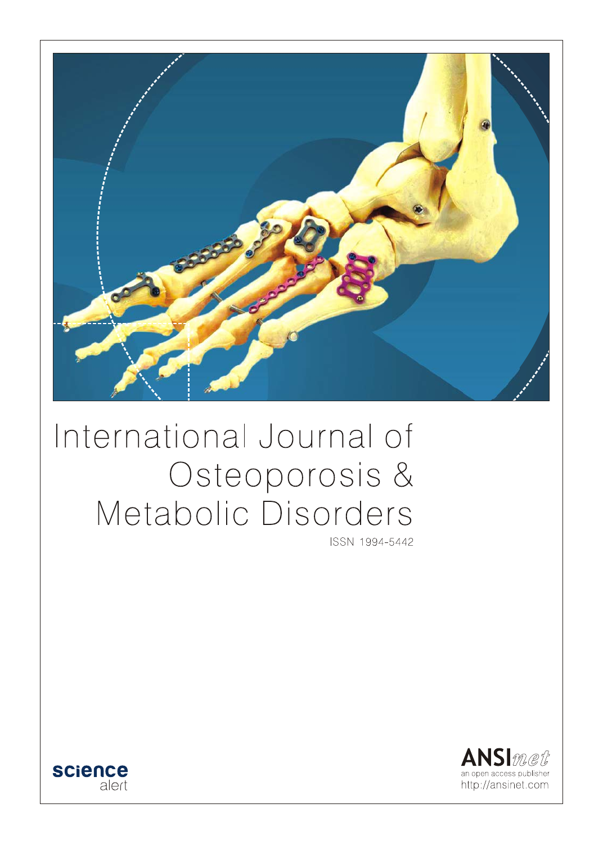

# International Journal of Osteoporosis & Metabolic Disorders

ISSN 1994-5442



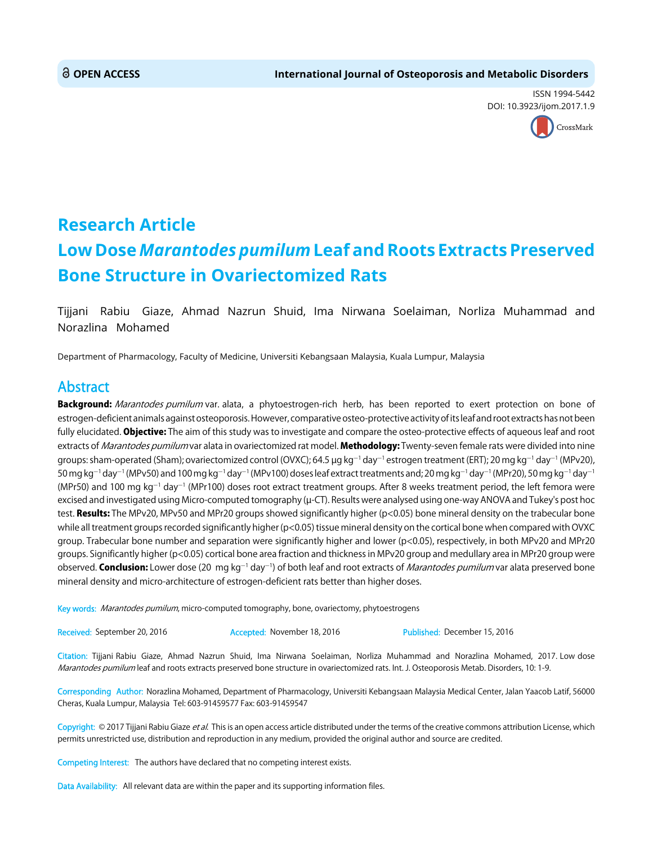ISSN 1994-5442 DOI: 10.3923/ijom.2017.1.9



## **Research Article Low Dose** *Marantodes pumilum* **Leaf and Roots Extracts Preserved Bone Structure in Ovariectomized Rats**

Tijjani Rabiu Giaze, Ahmad Nazrun Shuid, Ima Nirwana Soelaiman, Norliza Muhammad and Norazlina Mohamed

Department of Pharmacology, Faculty of Medicine, Universiti Kebangsaan Malaysia, Kuala Lumpur, Malaysia

### Abstract

Background: Marantodes pumilum var. alata, a phytoestrogen-rich herb, has been reported to exert protection on bone of estrogen-deficient animals against osteoporosis. However, comparative osteo-protective activity of its leaf and root extracts has not been fully elucidated. **Objective:** The aim of this study was to investigate and compare the osteo-protective effects of aqueous leaf and root extracts of Marantodes pumilum var alata in ovariectomized rat model. Methodology: Twenty-seven female rats were divided into nine groups: sham-operated (Sham); ovariectomized control (OVXC); 64.5 µg kg<sup>-1</sup> day<sup>-1</sup> estrogen treatment (ERT); 20 mg kg<sup>-1</sup> day<sup>-1</sup> (MPv20), 50 mg kg<sup>-1</sup> day<sup>-1</sup> (MPv50) and 100 mg kg<sup>-1</sup> day<sup>-1</sup> (MPv100) doses leaf extract treatments and; 20 mg kg<sup>-1</sup> day<sup>-1</sup> (MPr20), 50 mg kg<sup>-1</sup> day<sup>-1</sup> (MPr50) and 100 mg kg<sup>-1</sup> day<sup>-1</sup> (MPr100) doses root extract treatment groups. After 8 weeks treatment period, the left femora were excised and investigated using Micro-computed tomography (µ-CT). Results were analysed using one-way ANOVA and Tukey's post hoc test. Results: The MPv20, MPv50 and MPr20 groups showed significantly higher (p<0.05) bone mineral density on the trabecular bone while all treatment groups recorded significantly higher (p<0.05) tissue mineral density on the cortical bone when compared with OVXC group. Trabecular bone number and separation were significantly higher and lower (p<0.05), respectively, in both MPv20 and MPr20 groups. Significantly higher (p<0.05) cortical bone area fraction and thickness in MPv20 group and medullary area in MPr20 group were observed. Conclusion: Lower dose (20 mg kg<sup>-1</sup> day<sup>-1</sup>) of both leaf and root extracts of *Marantodes pumilum* var alata preserved bone mineral density and micro-architecture of estrogen-deficient rats better than higher doses.

Key words: Marantodes pumilum, micro-computed tomography, bone, ovariectomy, phytoestrogens

Received: September 20, 2016 Accepted: November 18, 2016 Published: December 15, 2016

Citation: Tijjani Rabiu Giaze, Ahmad Nazrun Shuid, Ima Nirwana Soelaiman, Norliza Muhammad and Norazlina Mohamed, 2017. Low dose Marantodes pumilum leaf and roots extracts preserved bone structure in ovariectomized rats. Int. J. Osteoporosis Metab. Disorders, 10: 1-9.

Corresponding Author: Norazlina Mohamed, Department of Pharmacology, Universiti Kebangsaan Malaysia Medical Center, Jalan Yaacob Latif, 56000 Cheras, Kuala Lumpur, Malaysia Tel: 603-91459577 Fax: 603-91459547

Copyright: © 2017 Tijjani Rabiu Giaze et al. This is an open access article distributed under the terms of the creative commons attribution License, which permits unrestricted use, distribution and reproduction in any medium, provided the original author and source are credited.

Competing Interest: The authors have declared that no competing interest exists.

Data Availability: All relevant data are within the paper and its supporting information files.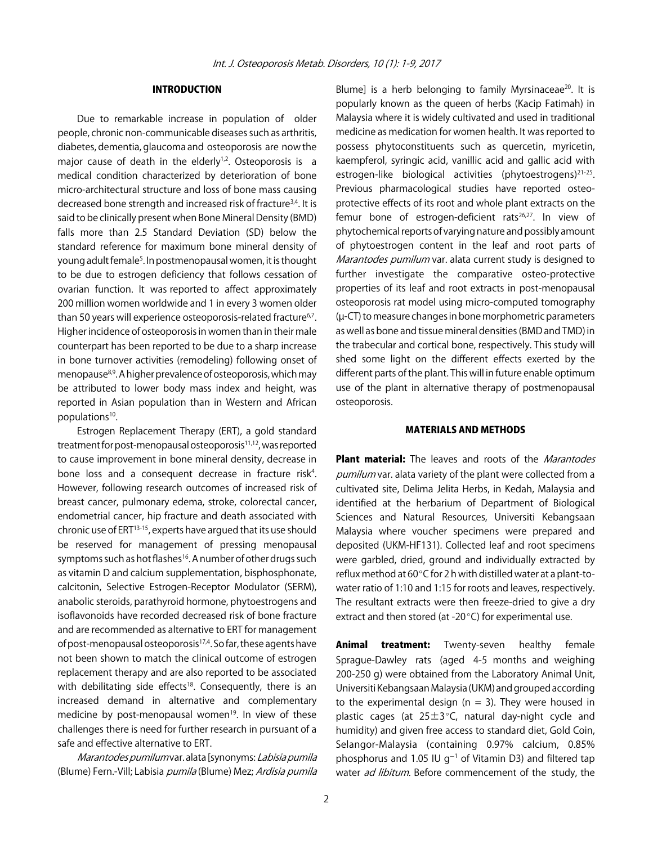#### INTRODUCTION

Due to remarkable increase in population of older people, chronic non-communicable diseases such as arthritis, diabetes, dementia, glaucoma and osteoporosis are now the major cause of death in the elderly $1,2$ . Osteoporosis is a medical condition characterized by deterioration of bone micro-architectural structure and loss of bone mass causing decreased bone strength and increased risk of fracture<sup>3,4</sup>. It is said to be clinically present when Bone Mineral Density (BMD) falls more than 2.5 Standard Deviation (SD) below the standard reference for maximum bone mineral density of young adult female<sup>5</sup>. In postmenopausal women, it is thought to be due to estrogen deficiency that follows cessation of ovarian function. It was reported to affect approximately 200 million women worldwide and 1 in every 3 women older than 50 years will experience osteoporosis-related fracture<sup>6,7</sup>. Higher incidence of osteoporosis in women than in their male counterpart has been reported to be due to a sharp increase in bone turnover activities (remodeling) following onset of menopause8,9. A higher prevalence of osteoporosis, which may be attributed to lower body mass index and height, was reported in Asian population than in Western and African populations<sup>10</sup>.

Estrogen Replacement Therapy (ERT), a gold standard treatment for post-menopausal osteoporosis<sup>11,12</sup>, was reported to cause improvement in bone mineral density, decrease in bone loss and a consequent decrease in fracture risk<sup>4</sup>. However, following research outcomes of increased risk of breast cancer, pulmonary edema, stroke, colorectal cancer, endometrial cancer, hip fracture and death associated with chronic use of ERT13-15, experts have argued that its use should be reserved for management of pressing menopausal symptoms such as hot flashes<sup>16</sup>. A number of other drugs such as vitamin D and calcium supplementation, bisphosphonate, calcitonin, Selective Estrogen-Receptor Modulator (SERM), anabolic steroids, parathyroid hormone, phytoestrogens and isoflavonoids have recorded decreased risk of bone fracture and are recommended as alternative to ERT for management of post-menopausal osteoporosis<sup>17,4</sup>. So far, these agents have not been shown to match the clinical outcome of estrogen replacement therapy and are also reported to be associated with debilitating side effects<sup>18</sup>. Consequently, there is an increased demand in alternative and complementary medicine by post-menopausal women<sup>19</sup>. In view of these challenges there is need for further research in pursuant of a safe and effective alternative to ERT.

Marantodes pumilum var. alata [synonyms: Labisia pumila (Blume) Fern.-Vill; Labisia pumila (Blume) Mez; Ardisia pumila

Blume] is a herb belonging to family Myrsinaceae<sup>20</sup>. It is popularly known as the queen of herbs (Kacip Fatimah) in Malaysia where it is widely cultivated and used in traditional medicine as medication for women health. It was reported to possess phytoconstituents such as quercetin, myricetin, kaempferol, syringic acid, vanillic acid and gallic acid with estrogen-like biological activities (phytoestrogens)<sup>21-25</sup>. Previous pharmacological studies have reported osteoprotective effects of its root and whole plant extracts on the femur bone of estrogen-deficient rats<sup>26,27</sup>. In view of phytochemical reports of varying nature and possibly amount of phytoestrogen content in the leaf and root parts of Marantodes pumilum var. alata current study is designed to further investigate the comparative osteo-protective properties of its leaf and root extracts in post-menopausal osteoporosis rat model using micro-computed tomography (µ-CT) to measure changes in bone morphometric parameters as well as bone and tissue mineral densities (BMD and TMD) in the trabecular and cortical bone, respectively. This study will shed some light on the different effects exerted by the different parts of the plant. This will in future enable optimum use of the plant in alternative therapy of postmenopausal osteoporosis.

#### MATERIALS AND METHODS

Plant material: The leaves and roots of the *Marantodes* pumilum var. alata variety of the plant were collected from a cultivated site, Delima Jelita Herbs, in Kedah, Malaysia and identified at the herbarium of Department of Biological Sciences and Natural Resources, Universiti Kebangsaan Malaysia where voucher specimens were prepared and deposited (UKM-HF131). Collected leaf and root specimens were garbled, dried, ground and individually extracted by reflux method at 60 $^{\circ}$ C for 2 h with distilled water at a plant-towater ratio of 1:10 and 1:15 for roots and leaves, respectively. The resultant extracts were then freeze-dried to give a dry extract and then stored (at -20 $^{\circ}$ C) for experimental use.

Animal treatment: Twenty-seven healthy female Sprague-Dawley rats (aged 4-5 months and weighing 200-250 g) were obtained from the Laboratory Animal Unit, Universiti Kebangsaan Malaysia (UKM) and grouped according to the experimental design ( $n = 3$ ). They were housed in plastic cages (at  $25\pm3$ °C, natural day-night cycle and humidity) and given free access to standard diet, Gold Coin, Selangor-Malaysia (containing 0.97% calcium, 0.85% phosphorus and 1.05 IU  $g^{-1}$  of Vitamin D3) and filtered tap water ad libitum. Before commencement of the study, the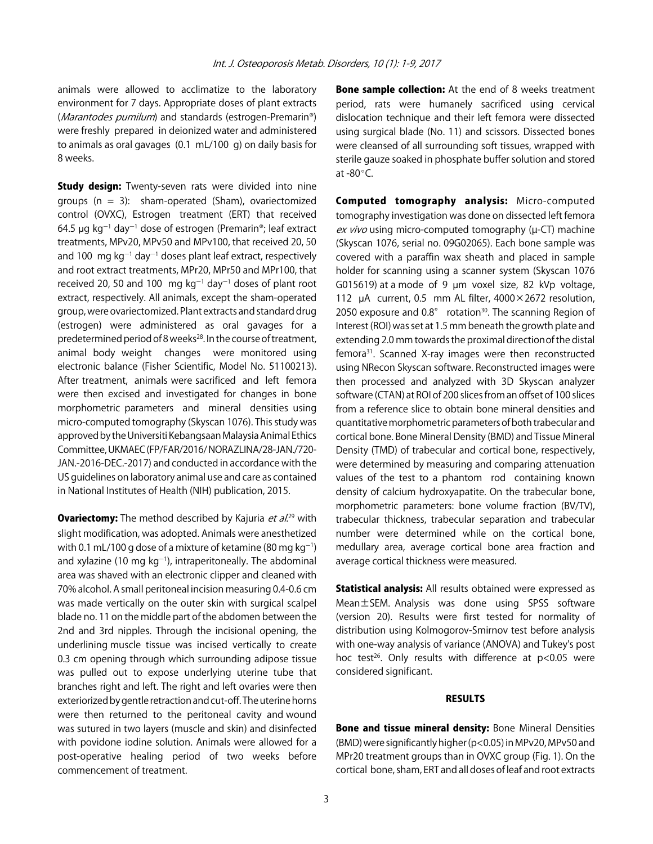animals were allowed to acclimatize to the laboratory environment for 7 days. Appropriate doses of plant extracts (Marantodes pumilum) and standards (estrogen-Premarin®) were freshly prepared in deionized water and administered to animals as oral gavages (0.1 mL/100 g) on daily basis for 8 weeks.

**Study design:** Twenty-seven rats were divided into nine groups  $(n = 3)$ : sham-operated (Sham), ovariectomized control (OVXC), Estrogen treatment (ERT) that received 64.5  $\mu$ g kg $^{-1}$  day $^{-1}$  dose of estrogen (Premarin®; leaf extract treatments, MPv20, MPv50 and MPv100, that received 20, 50 and 100  $mg$  kg<sup>-1</sup> day<sup>-1</sup> doses plant leaf extract, respectively and root extract treatments, MPr20, MPr50 and MPr100, that received 20, 50 and 100  $\,$  mg kg<sup>-1</sup> day<sup>-1</sup> doses of plant root extract, respectively. All animals, except the sham-operated group, were ovariectomized. Plant extracts and standard drug (estrogen) were administered as oral gavages for a predetermined period of 8 weeks<sup>28</sup>. In the course of treatment, animal body weight changes were monitored using electronic balance (Fisher Scientific, Model No. 51100213). After treatment, animals were sacrificed and left femora were then excised and investigated for changes in bone morphometric parameters and mineral densities using micro-computed tomography (Skyscan 1076). This study was approved by the Universiti Kebangsaan Malaysia Animal Ethics Committee, UKMAEC (FP/FAR/2016/ NORAZLINA/28-JAN./720- JAN.-2016-DEC.-2017) and conducted in accordance with the US guidelines on laboratory animal use and care as contained in National Institutes of Health (NIH) publication, 2015.

**Ovariectomy:** The method described by Kajuria *et al.*<sup>29</sup> with slight modification, was adopted. Animals were anesthetized with 0.1 mL/100 g dose of a mixture of ketamine (80 mg  $kg^{-1}$ ) and xylazine (10 mg  $kg^{-1}$ ), intraperitoneally. The abdominal area was shaved with an electronic clipper and cleaned with 70% alcohol. A small peritoneal incision measuring 0.4-0.6 cm was made vertically on the outer skin with surgical scalpel blade no. 11 on the middle part of the abdomen between the 2nd and 3rd nipples. Through the incisional opening, the underlining muscle tissue was incised vertically to create 0.3 cm opening through which surrounding adipose tissue was pulled out to expose underlying uterine tube that branches right and left. The right and left ovaries were then exteriorized by gentle retraction and cut-off. The uterine horns were then returned to the peritoneal cavity and wound was sutured in two layers (muscle and skin) and disinfected with povidone iodine solution. Animals were allowed for a post-operative healing period of two weeks before commencement of treatment.

**Bone sample collection:** At the end of 8 weeks treatment period, rats were humanely sacrificed using cervical dislocation technique and their left femora were dissected using surgical blade (No. 11) and scissors. Dissected bones were cleansed of all surrounding soft tissues, wrapped with sterile gauze soaked in phosphate buffer solution and stored at  $-80^{\circ}$ C.

Computed tomography analysis: Micro-computed tomography investigation was done on dissected left femora ex vivo using micro-computed tomography (µ-CT) machine (Skyscan 1076, serial no. 09G02065). Each bone sample was covered with a paraffin wax sheath and placed in sample holder for scanning using a scanner system (Skyscan 1076 G015619) at a mode of 9  $\mu$ m voxel size, 82 kVp voltage, 112  $\mu$ A current, 0.5 mm AL filter, 4000 $\times$ 2672 resolution, 2050 exposure and  $0.8^\circ$  rotation<sup>30</sup>. The scanning Region of Interest (ROI) was set at 1.5 mm beneath the growth plate and extending 2.0 mm towards the proximal directionof the distal femora31. Scanned X-ray images were then reconstructed using NRecon Skyscan software. Reconstructed images were then processed and analyzed with 3D Skyscan analyzer software (CTAN) at ROI of 200 slices from an offset of 100 slices from a reference slice to obtain bone mineral densities and quantitative morphometric parameters of both trabecular and cortical bone. Bone Mineral Density (BMD) and Tissue Mineral Density (TMD) of trabecular and cortical bone, respectively, were determined by measuring and comparing attenuation values of the test to a phantom rod containing known density of calcium hydroxyapatite. On the trabecular bone, morphometric parameters: bone volume fraction (BV/TV), trabecular thickness, trabecular separation and trabecular number were determined while on the cortical bone, medullary area, average cortical bone area fraction and average cortical thickness were measured.

Statistical analysis: All results obtained were expressed as Mean±SEM. Analysis was done using SPSS software (version 20). Results were first tested for normality of distribution using Kolmogorov-Smirnov test before analysis with one-way analysis of variance (ANOVA) and Tukey's post hoc test<sup>26</sup>. Only results with difference at  $p<0.05$  were considered significant.

#### RESULTS

**Bone and tissue mineral density: Bone Mineral Densities** (BMD) were significantly higher (p<0.05) in MPv20, MPv50 and MPr20 treatment groups than in OVXC group (Fig. 1). On the cortical bone, sham, ERT and all doses of leaf and root extracts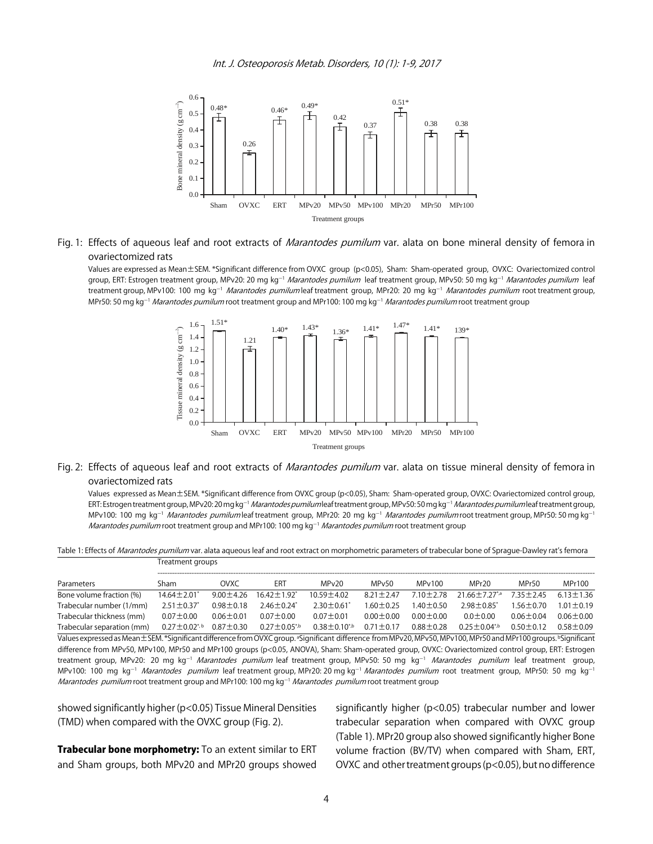Int. J. Osteoporosis Metab. Disorders, 10 (1): 1-9, 2017



#### Fig. 1: Effects of aqueous leaf and root extracts of *Marantodes pumilum* var. alata on bone mineral density of femora in ovariectomized rats

Values are expressed as Mean±SEM. \*Significant difference from OVXC group (p<0.05), Sham: Sham-operated group, OVXC: Ovariectomized control group, ERT: Estrogen treatment group, MPv20: 20 mg kg<sup>-1</sup> Marantodes pumilum leaf treatment group, MPv50: 50 mg kg<sup>-1</sup> Marantodes pumilum leaf treatment group, MPv100: 100 mg kg<sup>-1</sup> Marantodes pumilum leaf treatment group, MPr20: 20 mg kg<sup>-1</sup> Marantodes pumilum root treatment group, MPr50: 50 mg kg<sup>-1</sup> Marantodes pumilum root treatment group and MPr100: 100 mg kg<sup>-1</sup> Marantodes pumilum root treatment group



#### Fig. 2: Effects of aqueous leaf and root extracts of *Marantodes pumilum* var. alata on tissue mineral density of femora in ovariectomized rats

Values expressed as Mean±SEM. \*Significant difference from OVXC group (p<0.05), Sham: Sham-operated group, OVXC: Ovariectomized control group, ERT: Estrogen treatment group, MPv20: 20 mg kg<sup>-1</sup> Marantodes pumilum leaf treatment group, MPv50: 50 mg kg<sup>-1</sup> Marantodes pumilum leaf treatment group, MPv100: 100 mg kg<sup>-1</sup> Marantodes pumilum leaf treatment group, MPr20: 20 mg kg<sup>-1</sup> Marantodes pumilum root treatment group, MPr50: 50 mg kg<sup>-1</sup> Marantodes pumilum root treatment group and MPr100: 100 mg kg<sup>-1</sup> Marantodes pumilum root treatment group

Table 1: Effects of Marantodes pumilum var. alata aqueous leaf and root extract on morphometric parameters of trabecular bone of Sprague-Dawley rat's femora Treatment groups

| Parameters                 | Sham                          | OVXC            | ERT                           | MPv20                | MP <sub>v50</sub> | MPv100          | MPr20                           | MPr50           | MPr100          |  |
|----------------------------|-------------------------------|-----------------|-------------------------------|----------------------|-------------------|-----------------|---------------------------------|-----------------|-----------------|--|
| Bone volume fraction (%)   | $14.64 \pm 2.01$ <sup>*</sup> | $9.00 \pm 4.26$ | $16.42 \pm 1.92$ <sup>*</sup> | $10.59 \pm 4.02$     | $8.21 \pm 2.47$   | $7.10 \pm 2.78$ | $21.66 \pm 7.27$ <sup>*,a</sup> | $7.35 + 2.45$   | $6.13 \pm 1.36$ |  |
| Trabecular number (1/mm)   | $2.51 \pm 0.37$               | $0.98 \pm 0.18$ | $2.46 \pm 0.24^*$             | $2.30 \pm 0.61'$     | $1.60 \pm 0.25$   | $1.40 + 0.50$   | $2.98 \pm 0.85^*$               | $1.56 \pm 0.70$ | $1.01 \pm 0.19$ |  |
| Trabecular thickness (mm)  | $0.07 \pm 0.00$               | $0.06 \pm 0.01$ | $0.07 + 0.00$                 | $0.07 \pm 0.01$      | $0.00 \pm 0.00$   | $0.00 \pm 0.00$ | $0.0 + 0.00$                    | $0.06 \pm 0.04$ | $0.06 \pm 0.00$ |  |
| Trabecular separation (mm) | $0.27\pm0.02$ *, b            | $0.87 \pm 0.30$ | $0.27 \pm 0.05^{*}$           | $0.38 \pm 0.10^{*b}$ | $0.71 \pm 0.17$   | $0.88 + 0.28$   | $0.25 + 0.04^{*}$               | $0.50 + 0.12$   | $0.58 + 0.09$   |  |
|                            |                               |                 |                               |                      |                   |                 |                                 |                 |                 |  |

Values expressed as Mean $\pm$ SEM. \*Significant difference from OVXC group. ªSignificant difference from MPv20, MPv50, MPv100, MPr50 and MPr100 groups. <sup>b</sup>Significant difference from MPv50, MPv100, MPr50 and MPr100 groups (p<0.05, ANOVA), Sham: Sham-operated group, OVXC: Ovariectomized control group, ERT: Estrogen treatment group, MPv20: 20 mg kg<sup>-1</sup> Marantodes pumilum leaf treatment group, MPv50: 50 mg kg<sup>-1</sup> Marantodes pumilum leaf treatment group, MPv100: 100 mg kg<sup>-1</sup> *Marantodes pumilum* leaf treatment group, MPr20: 20 mg kg<sup>-1</sup> *Marantodes pumilum* root treatment group, MPr50: 50 mg kg<sup>-1</sup> *Marantodes pumilum* root treatment group and MPr100: 100 mg kg<sup>-1</sup> *Marantodes pumilum* root treatment group

showed significantly higher (p<0.05) Tissue Mineral Densities (TMD) when compared with the OVXC group (Fig. 2).

Trabecular bone morphometry: To an extent similar to ERT and Sham groups, both MPv20 and MPr20 groups showed significantly higher (p<0.05) trabecular number and lower trabecular separation when compared with OVXC group (Table 1). MPr20 group also showed significantly higher Bone volume fraction (BV/TV) when compared with Sham, ERT, OVXC and other treatment groups (p<0.05), but no difference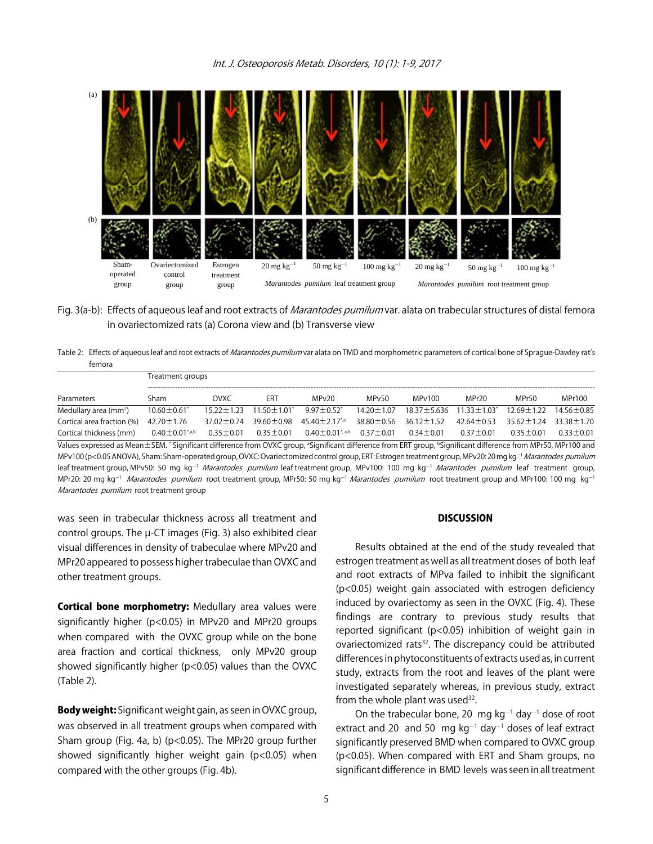

Fig. 3(a-b): Effects of aqueous leaf and root extracts of *Marantodes pumilum* var. alata on trabecular structures of distal femora in ovariectomized rats (a) Corona view and (b) Transverse view

Table 2: Effects of aqueous leaf and root extracts of Marantodes pumilum var alata on TMD and morphometric parameters of cortical bone of Sprague-Dawley rat's femora

|                                                                                                                                                                                                                                                                                                                                                                | Treatment groups              |                  |                               |                                        |                   |                  |                    |                  |                  |  |
|----------------------------------------------------------------------------------------------------------------------------------------------------------------------------------------------------------------------------------------------------------------------------------------------------------------------------------------------------------------|-------------------------------|------------------|-------------------------------|----------------------------------------|-------------------|------------------|--------------------|------------------|------------------|--|
| Parameters                                                                                                                                                                                                                                                                                                                                                     | Sham                          | <b>OVXC</b>      | ERT                           | MPv20                                  | MP <sub>v50</sub> | MPv100           | MPr20              | MPr50            | MPr100           |  |
| Medullary area (mm <sup>2</sup> )                                                                                                                                                                                                                                                                                                                              | $10.60 \pm 0.61$ <sup>*</sup> | $15.22 \pm 1.23$ | $11.50 \pm 1.01$ <sup>*</sup> | $9.97 \pm 0.52$ <sup>*</sup>           | $14.20 \pm 1.07$  | 18.37±5.636      | $11.33 \pm 1.03^*$ | 12.69±1.22       | $14.56 \pm 0.85$ |  |
| Cortical area fraction (%)                                                                                                                                                                                                                                                                                                                                     | $42.70 \pm 1.76$              | $37.02 \pm 0.74$ | $39.60 \pm 0.98$              | 45.40 ± 2.17 <sup>*</sup> <sup>a</sup> | 38.80 ± 0.56      | $36.12 \pm 1.52$ | $42.64 \pm 0.53$   | $35.62 \pm 1.24$ | 33.38 ± 1.70     |  |
| Cortical thickness (mm)                                                                                                                                                                                                                                                                                                                                        | $0.40 \pm 0.01^{*}$ ,a,b      | $0.35 \pm 0.01$  | $0.35 \pm 0.01$               | $0.40 \pm 0.01$ <sup>*, a,b</sup>      | $0.37 \pm 0.01$   | $0.34 \pm 0.01$  | $0.37 \pm 0.01$    | $0.35 \pm 0.01$  | $0.33 \pm 0.01$  |  |
| Values expressed as Mean±SEM. *Significant difference from OVXC group, <sup>a</sup> Significant difference from ERT group, <sup>b</sup> Significant difference from MPr50, MPr100 and<br>MPv100 (p<0.05 ANOVA), Sham: Sham-operated group, OVXC: Ovariectomized control group, ERT: Estrogen treatment group, MPv20: 20 mg kg <sup>-1</sup> Marantodes pumilum |                               |                  |                               |                                        |                   |                  |                    |                  |                  |  |
| leaf treatment group, MPv50: 50 mg kg <sup>-1</sup> <i>Marantodes pumilum</i> leaf treatment group, MPv100: 100 mg kg <sup>-1</sup> <i>Marantodes pumilum</i> leaf treatment group,                                                                                                                                                                            |                               |                  |                               |                                        |                   |                  |                    |                  |                  |  |
| MPr20: 20 mg kg <sup>-1</sup> <i>Marantodes pumilum</i> root treatment group, MPr50: 50 mg kg <sup>-1</sup> <i>Marantodes pumilum</i> root treatment group and MPr100: 100 mg kg <sup>-1</sup>                                                                                                                                                                 |                               |                  |                               |                                        |                   |                  |                    |                  |                  |  |
| Marantodes pumilum root treatment group                                                                                                                                                                                                                                                                                                                        |                               |                  |                               |                                        |                   |                  |                    |                  |                  |  |

was seen in trabecular thickness across all treatment and control groups. The µ-CT images (Fig. 3) also exhibited clear visual differences in density of trabeculae where MPv20 and MPr20 appeared to possess higher trabeculae than OVXC and other treatment groups.

Cortical bone morphometry: Medullary area values were significantly higher (p<0.05) in MPv20 and MPr20 groups when compared with the OVXC group while on the bone area fraction and cortical thickness, only MPv20 group showed significantly higher (p<0.05) values than the OVXC (Table 2).

Body weight: Significant weight gain, as seen in OVXC group, was observed in all treatment groups when compared with Sham group (Fig. 4a, b) (p<0.05). The MPr20 group further showed significantly higher weight gain (p<0.05) when compared with the other groups (Fig. 4b).

#### **DISCUSSION**

Results obtained at the end of the study revealed that estrogen treatment as well as all treatment doses of both leaf and root extracts of MPva failed to inhibit the significant (p<0.05) weight gain associated with estrogen deficiency induced by ovariectomy as seen in the OVXC (Fig. 4). These findings are contrary to previous study results that reported significant (p<0.05) inhibition of weight gain in ovariectomized rats<sup>32</sup>. The discrepancy could be attributed differences in phytoconstituents of extracts used as, in current study, extracts from the root and leaves of the plant were investigated separately whereas, in previous study, extract from the whole plant was used  $32$ .

On the trabecular bone, 20  $\,$  mg kg<sup>-1</sup> day<sup>-1</sup> dose of root extract and 20  $\,$  and 50  $\,$  mg kg<sup>-1</sup> day<sup>-1</sup> doses of leaf extract significantly preserved BMD when compared to OVXC group (p<0.05). When compared with ERT and Sham groups, no significant difference in BMD levels was seen in all treatment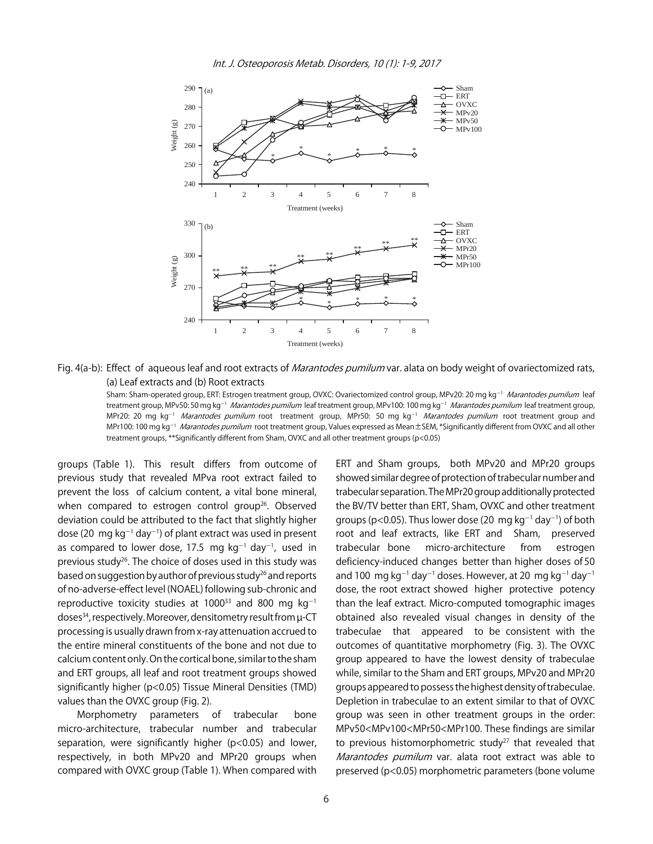

Fig. 4(a-b): Effect of aqueous leaf and root extracts of *Marantodes pumilum* var. alata on body weight of ovariectomized rats, (a) Leaf extracts and (b) Root extracts

Sham: Sham-operated group, ERT: Estrogen treatment group, OVXC: Ovariectomized control group, MPv20: 20 mg kg<sup>-1</sup> Marantodes pumilum leaf treatment group, MPv50: 50 mg kg<sup>-1</sup> *Marantodes pumilum* leaf treatment group, MPv100: 100 mg kg<sup>-1</sup> *Marantodes pumilum* leaf treatment group, MPr20: 20 mg kg<sup>-1</sup> *Marantodes pumilum* root treatment group, MPr50: 50 mg kg<sup>-1</sup> *Marantodes pumilum* root treatment group and MPr100: 100 mg kg<sup>-1</sup> *Marantodes pumilum* root treatment group, Values expressed as Mean±SEM, \*Significantly different from OVXC and all other treatment groups, \*\*Significantly different from Sham, OVXC and all other treatment groups (p<0.05)

groups (Table 1). This result differs from outcome of previous study that revealed MPva root extract failed to prevent the loss of calcium content, a vital bone mineral, when compared to estrogen control group<sup>26</sup>. Observed deviation could be attributed to the fact that slightly higher dose (20  $\,$ mg kg $^{-1}$  day $^{-1}$ ) of plant extract was used in present as compared to lower dose, 17.5 mg  $kg^{-1}$  day<sup>-1</sup>, used in previous study<sup>26</sup>. The choice of doses used in this study was based on suggestion by author of previous study<sup>26</sup> and reports of no-adverse-effect level (NOAEL) following sub-chronic and reproductive toxicity studies at  $1000^{33}$  and 800 mg kg<sup>-1</sup> doses<sup>34</sup>, respectively. Moreover, densitometry result from  $\mu$ -CT processing is usually drawn from x-ray attenuation accrued to the entire mineral constituents of the bone and not due to calcium content only. On the cortical bone, similar to the sham and ERT groups, all leaf and root treatment groups showed significantly higher (p<0.05) Tissue Mineral Densities (TMD) values than the OVXC group (Fig. 2).

Morphometry parameters of trabecular bone micro-architecture, trabecular number and trabecular separation, were significantly higher (p<0.05) and lower, respectively, in both MPv20 and MPr20 groups when compared with OVXC group (Table 1). When compared with ERT and Sham groups, both MPv20 and MPr20 groups showed similar degree of protection of trabecular number and trabecular separation. The MPr20 group additionally protected the BV/TV better than ERT, Sham, OVXC and other treatment groups (p<0.05). Thus lower dose (20  $\,$ mg kg $^{-1}$  day $^{-1}$ ) of both root and leaf extracts, like ERT and Sham, preserved trabecular bone micro-architecture from estrogen deficiency-induced changes better than higher doses of 50 and 100  $\,$ mg kg $^{-1}$  day $^{-1}$  doses. However, at 20  $\,$ mg kg $^{-1}$  day $^{-1}$ dose, the root extract showed higher protective potency than the leaf extract. Micro-computed tomographic images obtained also revealed visual changes in density of the trabeculae that appeared to be consistent with the outcomes of quantitative morphometry (Fig. 3). The OVXC group appeared to have the lowest density of trabeculae while, similar to the Sham and ERT groups, MPv20 and MPr20 groups appeared to possess the highest density of trabeculae. Depletion in trabeculae to an extent similar to that of OVXC group was seen in other treatment groups in the order: MPv50<MPv100<MPr50<MPr100. These findings are similar to previous histomorphometric study $27$  that revealed that Marantodes pumilum var. alata root extract was able to preserved (p<0.05) morphometric parameters (bone volume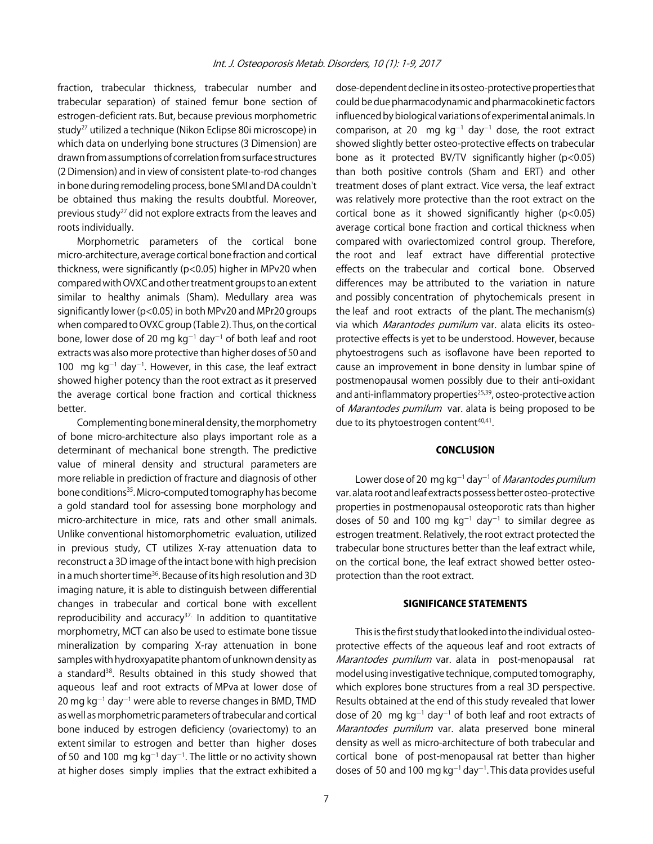fraction, trabecular thickness, trabecular number and trabecular separation) of stained femur bone section of estrogen-deficient rats. But, because previous morphometric study27 utilized a technique (Nikon Eclipse 80i microscope) in which data on underlying bone structures (3 Dimension) are drawn from assumptions of correlation from surface structures (2 Dimension) and in view of consistent plate-to-rod changes in bone during remodeling process, bone SMI and DA couldn't be obtained thus making the results doubtful. Moreover, previous study<sup>27</sup> did not explore extracts from the leaves and roots individually.

Morphometric parameters of the cortical bone micro-architecture, average cortical bone fraction and cortical thickness, were significantly (p<0.05) higher in MPv20 when compared with OVXC and other treatment groups to an extent similar to healthy animals (Sham). Medullary area was significantly lower (p<0.05) in both MPv20 and MPr20 groups when compared to OVXC group (Table 2). Thus, on the cortical bone, lower dose of 20 mg kg<sup>-1</sup> day<sup>-1</sup> of both leaf and root extracts was also more protective than higher doses of 50 and 100 mg  $kg^{-1}$  day<sup>-1</sup>. However, in this case, the leaf extract showed higher potency than the root extract as it preserved the average cortical bone fraction and cortical thickness better.

Complementing bone mineral density, the morphometry of bone micro-architecture also plays important role as a determinant of mechanical bone strength. The predictive value of mineral density and structural parameters are more reliable in prediction of fracture and diagnosis of other bone conditions<sup>35</sup>. Micro-computed tomography has become a gold standard tool for assessing bone morphology and micro-architecture in mice, rats and other small animals. Unlike conventional histomorphometric evaluation, utilized in previous study, CT utilizes X-ray attenuation data to reconstruct a 3D image of the intact bone with high precision in a much shorter time<sup>36</sup>. Because of its high resolution and 3D imaging nature, it is able to distinguish between differential changes in trabecular and cortical bone with excellent reproducibility and accuracy $37$ . In addition to quantitative morphometry, MCT can also be used to estimate bone tissue mineralization by comparing X-ray attenuation in bone samples with hydroxyapatite phantom of unknown density as a standard<sup>38</sup>. Results obtained in this study showed that aqueous leaf and root extracts of MPva at lower dose of 20 mg kg $^{-1}$  day $^{-1}$  were able to reverse changes in BMD, TMD as well as morphometric parameters of trabecular and cortical bone induced by estrogen deficiency (ovariectomy) to an extent similar to estrogen and better than higher doses of 50 and 100 mg  $kg^{-1}$  day<sup>-1</sup>. The little or no activity shown at higher doses simply implies that the extract exhibited a

dose-dependent decline in its osteo-protective properties that could be due pharmacodynamic and pharmacokinetic factors influenced by biological variations of experimental animals. In comparison, at 20  $\,$  mg kg<sup>-1</sup> day<sup>-1</sup> dose, the root extract showed slightly better osteo-protective effects on trabecular bone as it protected BV/TV significantly higher (p<0.05) than both positive controls (Sham and ERT) and other treatment doses of plant extract. Vice versa, the leaf extract was relatively more protective than the root extract on the cortical bone as it showed significantly higher (p<0.05) average cortical bone fraction and cortical thickness when compared with ovariectomized control group. Therefore, the root and leaf extract have differential protective effects on the trabecular and cortical bone. Observed differences may be attributed to the variation in nature and possibly concentration of phytochemicals present in the leaf and root extracts of the plant. The mechanism(s) via which Marantodes pumilum var. alata elicits its osteoprotective effects is yet to be understood. However, because phytoestrogens such as isoflavone have been reported to cause an improvement in bone density in lumbar spine of postmenopausal women possibly due to their anti-oxidant and anti-inflammatory properties<sup>25,39</sup>, osteo-protective action of *Marantodes pumilum* var. alata is being proposed to be due to its phytoestrogen content<sup>40,41</sup>.

#### **CONCLUSION**

Lower dose of 20 mg kg<sup>-1</sup> day<sup>-1</sup> of *Marantodes pumilum* var. alata root and leaf extracts possess better osteo-protective properties in postmenopausal osteoporotic rats than higher doses of 50 and 100 mg  $kg^{-1}$  day<sup>-1</sup> to similar degree as estrogen treatment. Relatively, the root extract protected the trabecular bone structures better than the leaf extract while, on the cortical bone, the leaf extract showed better osteoprotection than the root extract.

#### SIGNIFICANCE STATEMENTS

This is the first study that looked into the individual osteoprotective effects of the aqueous leaf and root extracts of Marantodes pumilum var. alata in post-menopausal rat model using investigative technique, computed tomography, which explores bone structures from a real 3D perspective. Results obtained at the end of this study revealed that lower dose of 20  $\,$  mg kg<sup>-1</sup> day<sup>-1</sup> of both leaf and root extracts of Marantodes pumilum var. alata preserved bone mineral density as well as micro-architecture of both trabecular and cortical bone of post-menopausal rat better than higher doses of 50 and 100 mg kg $^{-1}$ day $^{-1}$ . This data provides useful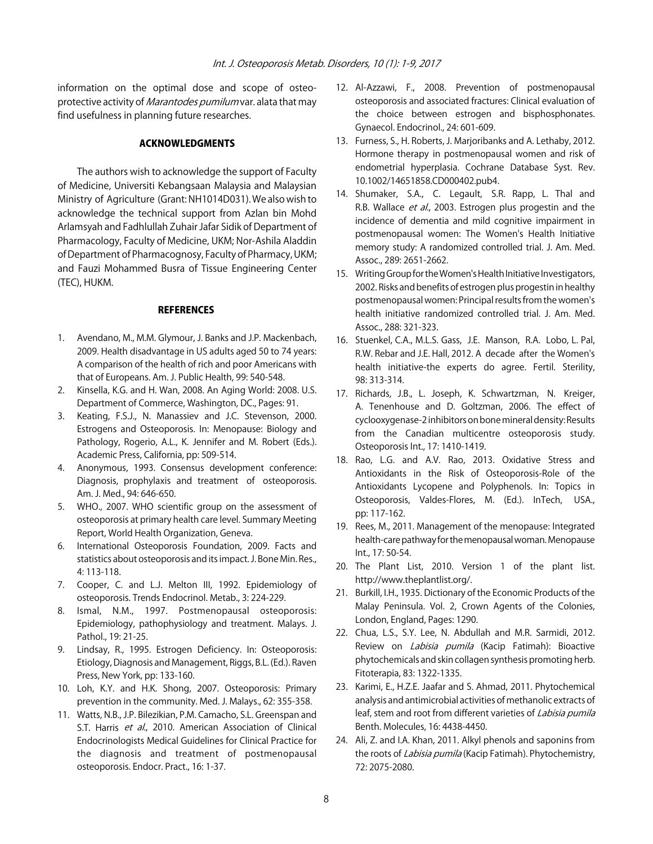information on the optimal dose and scope of osteoprotective activity of *Marantodes pumilum* var. alata that may find usefulness in planning future researches.

#### ACKNOWLEDGMENTS

The authors wish to acknowledge the support of Faculty of Medicine, Universiti Kebangsaan Malaysia and Malaysian Ministry of Agriculture (Grant: NH1014D031). We also wish to acknowledge the technical support from Azlan bin Mohd Arlamsyah and Fadhlullah Zuhair Jafar Sidik of Department of Pharmacology, Faculty of Medicine, UKM; Nor-Ashila Aladdin of Department of Pharmacognosy, Faculty of Pharmacy, UKM; and Fauzi Mohammed Busra of Tissue Engineering Center (TEC), HUKM.

#### **REFERENCES**

- 1. Avendano, M., M.M. Glymour, J. Banks and J.P. Mackenbach, 2009. Health disadvantage in US adults aged 50 to 74 years: A comparison of the health of rich and poor Americans with that of Europeans. Am. J. Public Health, 99: 540-548.
- 2. Kinsella, K.G. and H. Wan, 2008. An Aging World: 2008. U.S. Department of Commerce, Washington, DC., Pages: 91.
- 3. Keating, F.S.J., N. Manassiev and J.C. Stevenson, 2000. Estrogens and Osteoporosis. In: Menopause: Biology and Pathology, Rogerio, A.L., K. Jennifer and M. Robert (Eds.). Academic Press, California, pp: 509-514.
- 4. Anonymous, 1993. Consensus development conference: Diagnosis, prophylaxis and treatment of osteoporosis. Am. J. Med., 94: 646-650.
- 5. WHO., 2007. WHO scientific group on the assessment of osteoporosis at primary health care level. Summary Meeting Report, World Health Organization, Geneva.
- 6. International Osteoporosis Foundation, 2009. Facts and statistics about osteoporosis and its impact. J. Bone Min. Res., 4: 113-118.
- 7. Cooper, C. and L.J. Melton III, 1992. Epidemiology of osteoporosis. Trends Endocrinol. Metab., 3: 224-229.
- 8. Ismal, N.M., 1997. Postmenopausal osteoporosis: Epidemiology, pathophysiology and treatment. Malays. J. Pathol., 19: 21-25.
- 9. Lindsay, R., 1995. Estrogen Deficiency. In: Osteoporosis: Etiology, Diagnosis and Management, Riggs, B.L. (Ed.). Raven Press, New York, pp: 133-160.
- 10. Loh, K.Y. and H.K. Shong, 2007. Osteoporosis: Primary prevention in the community. Med. J. Malays., 62: 355-358.
- 11. Watts, N.B., J.P. Bilezikian, P.M. Camacho, S.L. Greenspan and S.T. Harris et al., 2010. American Association of Clinical Endocrinologists Medical Guidelines for Clinical Practice for the diagnosis and treatment of postmenopausal osteoporosis. Endocr. Pract., 16: 1-37.
- 12. Al-Azzawi, F., 2008. Prevention of postmenopausal osteoporosis and associated fractures: Clinical evaluation of the choice between estrogen and bisphosphonates. Gynaecol. Endocrinol., 24: 601-609.
- 13. Furness, S., H. Roberts, J. Marjoribanks and A. Lethaby, 2012. Hormone therapy in postmenopausal women and risk of endometrial hyperplasia. Cochrane Database Syst. Rev. 10.1002/14651858.CD000402.pub4.
- 14. Shumaker, S.A., C. Legault, S.R. Rapp, L. Thal and R.B. Wallace et al., 2003. Estrogen plus progestin and the incidence of dementia and mild cognitive impairment in postmenopausal women: The Women's Health Initiative memory study: A randomized controlled trial. J. Am. Med. Assoc., 289: 2651-2662.
- 15. Writing Group for the Women's Health Initiative Investigators, 2002. Risks and benefits of estrogen plus progestin in healthy postmenopausal women: Principal results from the women's health initiative randomized controlled trial. J. Am. Med. Assoc., 288: 321-323.
- 16. Stuenkel, C.A., M.L.S. Gass, J.E. Manson, R.A. Lobo, L. Pal, R.W. Rebar and J.E. Hall, 2012. A decade after the Women's health initiative-the experts do agree. Fertil. Sterility, 98: 313-314.
- 17. Richards, J.B., L. Joseph, K. Schwartzman, N. Kreiger, A. Tenenhouse and D. Goltzman, 2006. The effect of cyclooxygenase-2 inhibitors on bone mineral density: Results from the Canadian multicentre osteoporosis study. Osteoporosis Int., 17: 1410-1419.
- 18. Rao, L.G. and A.V. Rao, 2013. Oxidative Stress and Antioxidants in the Risk of Osteoporosis-Role of the Antioxidants Lycopene and Polyphenols. In: Topics in Osteoporosis, Valdes-Flores, M. (Ed.). InTech, USA., pp: 117-162.
- 19. Rees, M., 2011. Management of the menopause: Integrated health-care pathway for the menopausal woman. Menopause Int., 17: 50-54.
- 20. The Plant List, 2010. Version 1 of the plant list. http://www.theplantlist.org/.
- 21. Burkill, I.H., 1935. Dictionary of the Economic Products of the Malay Peninsula. Vol. 2, Crown Agents of the Colonies, London, England, Pages: 1290.
- 22. Chua, L.S., S.Y. Lee, N. Abdullah and M.R. Sarmidi, 2012. Review on *Labisia pumila* (Kacip Fatimah): Bioactive phytochemicals and skin collagen synthesis promoting herb. Fitoterapia, 83: 1322-1335.
- 23. Karimi, E., H.Z.E. Jaafar and S. Ahmad, 2011. Phytochemical analysis and antimicrobial activities of methanolic extracts of leaf, stem and root from different varieties of *Labisia pumila* Benth. Molecules, 16: 4438-4450.
- 24. Ali, Z. and I.A. Khan, 2011. Alkyl phenols and saponins from the roots of *Labisia pumila* (Kacip Fatimah). Phytochemistry, 72: 2075-2080.